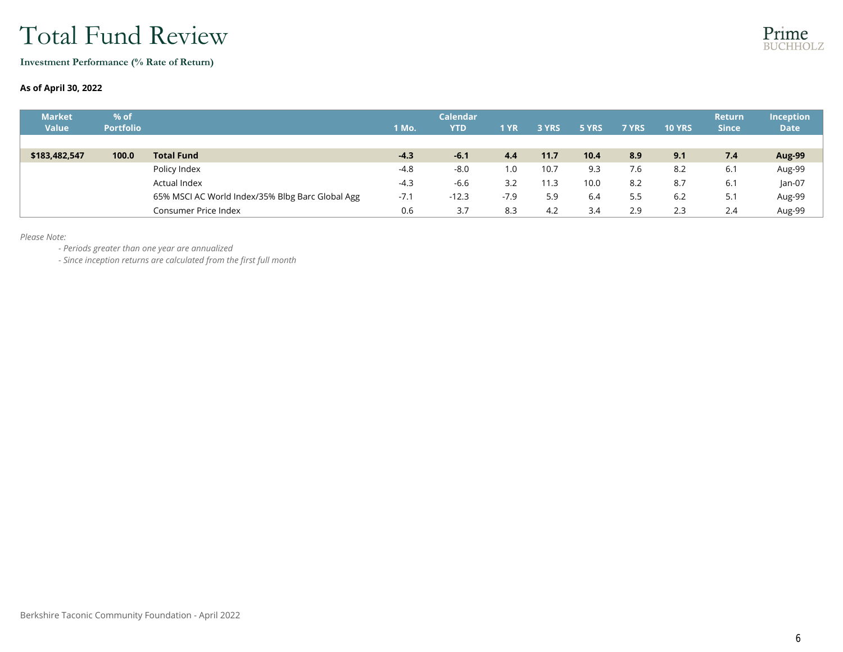## Total Fund Review

**Investment Performance (% Rate of Return)**

#### **As of April 30, 2022**

| <b>Market</b><br><b>Value</b> | % of<br><b>Portfolio</b> |                                                  | 1 Mo.  | <b>Calendar</b><br><b>YTD</b> | 1 YR   | 3 YRS | 5 YRS | <b>7 YRS</b> | <b>10 YRS</b> | <b>Return</b><br><b>Since</b> | <b>Inception</b><br><b>Date</b> |
|-------------------------------|--------------------------|--------------------------------------------------|--------|-------------------------------|--------|-------|-------|--------------|---------------|-------------------------------|---------------------------------|
|                               |                          |                                                  |        |                               |        |       |       |              |               |                               |                                 |
| \$183,482,547                 | 100.0                    | <b>Total Fund</b>                                | $-4.3$ | $-6.1$                        | 4.4    | 11.7  | 10.4  | 8.9          | 9.1           | 7.4                           | Aug-99                          |
|                               |                          | Policy Index                                     | $-4.8$ | $-8.0$                        | 1.0    | 10.7  | 9.3   | 7.6          | 8.2           | 6.1                           | Aug-99                          |
|                               |                          | Actual Index                                     | $-4.3$ | $-6.6$                        | 3.2    | 11.3  | 10.0  | 8.2          | 8.7           | 6.1                           | $Jan-07$                        |
|                               |                          | 65% MSCI AC World Index/35% Blbg Barc Global Agg | $-7.1$ | $-12.3$                       | $-7.9$ | 5.9   | 6.4   | 5.5          | 6.2           | 5.1                           | Aug-99                          |
|                               |                          | Consumer Price Index                             | 0.6    | 3.7                           | 8.3    | 4.2   | 3.4   | 2.9          | 2.3           | 2.4                           | Aug-99                          |

*Please Note:*

*- Periods greater than one year are annualized*

*- Since inception returns are calculated from the first full month*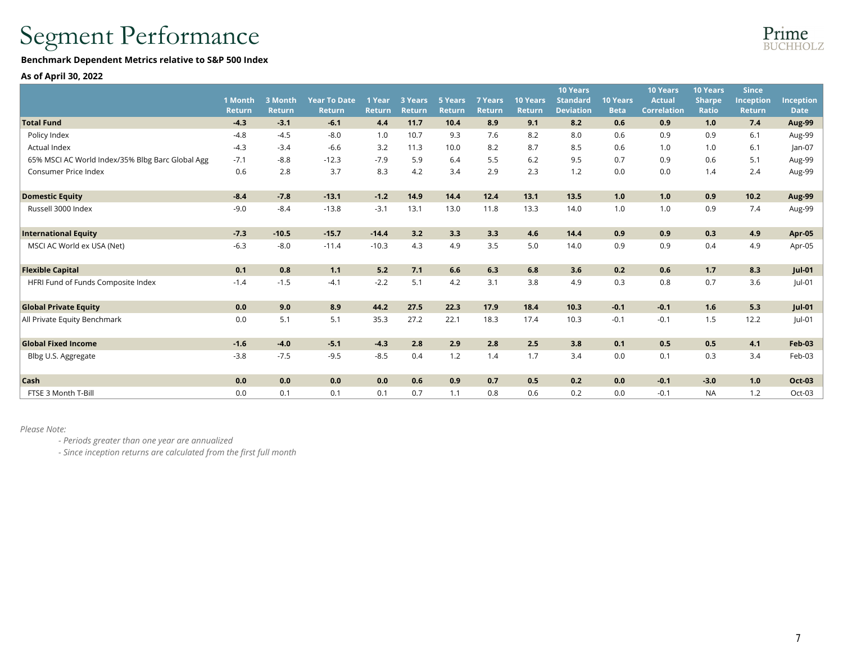# Segment Performance

#### Benchmark Dependent Metrics relative to S&P 500 Index

#### As of April 30, 2022

|                                                  | 1 Month<br><b>Return</b> | 3 Month<br>Return | <b>Year To Date</b><br>Return | 1 Year<br><b>Return</b> | 3 Years<br><b>Return</b> | <b>5 Years</b><br><b>Return</b> | <b>7 Years</b><br><b>Return</b> | <b>10 Years</b><br>Return | <b>10 Years</b><br><b>Standard</b><br><b>Deviation</b> | <b>10 Years</b><br><b>Beta</b> | <b>10 Years</b><br><b>Actual</b><br><b>Correlation</b> | <b>10 Years</b><br><b>Sharpe</b><br><b>Ratio</b> | <b>Since</b><br>Inception<br><b>Return</b> | <b>Inception</b><br><b>Date</b> |
|--------------------------------------------------|--------------------------|-------------------|-------------------------------|-------------------------|--------------------------|---------------------------------|---------------------------------|---------------------------|--------------------------------------------------------|--------------------------------|--------------------------------------------------------|--------------------------------------------------|--------------------------------------------|---------------------------------|
| <b>Total Fund</b>                                | $-4.3$                   | $-3.1$            | $-6.1$                        | 4.4                     | 11.7                     | 10.4                            | 8.9                             | 9.1                       | 8.2                                                    | 0.6                            | 0.9                                                    | 1.0                                              | 7.4                                        | Aug-99                          |
| Policy Index                                     | $-4.8$                   | $-4.5$            | $-8.0$                        | 1.0                     | 10.7                     | 9.3                             | 7.6                             | 8.2                       | 8.0                                                    | 0.6                            | 0.9                                                    | 0.9                                              | 6.1                                        | Aug-99                          |
| Actual Index                                     | $-4.3$                   | $-3.4$            | $-6.6$                        | 3.2                     | 11.3                     | 10.0                            | 8.2                             | 8.7                       | 8.5                                                    | 0.6                            | 1.0                                                    | 1.0                                              | 6.1                                        | $lan-07$                        |
| 65% MSCI AC World Index/35% Blbg Barc Global Agg | $-7.1$                   | $-8.8$            | $-12.3$                       | $-7.9$                  | 5.9                      | 6.4                             | 5.5                             | 6.2                       | 9.5                                                    | 0.7                            | 0.9                                                    | 0.6                                              | 5.1                                        | Aug-99                          |
| Consumer Price Index                             | 0.6                      | 2.8               | 3.7                           | 8.3                     | 4.2                      | 3.4                             | 2.9                             | 2.3                       | 1.2                                                    | 0.0                            | 0.0                                                    | 1.4                                              | 2.4                                        | Aug-99                          |
| <b>Domestic Equity</b>                           | $-8.4$                   | $-7.8$            | $-13.1$                       | $-1.2$                  | 14.9                     | 14.4                            | 12.4                            | 13.1                      | 13.5                                                   | 1.0                            | 1.0                                                    | 0.9                                              | 10.2                                       | Aug-99                          |
| Russell 3000 Index                               | $-9.0$                   | $-8.4$            | $-13.8$                       | $-3.1$                  | 13.1                     | 13.0                            | 11.8                            | 13.3                      | 14.0                                                   | 1.0                            | 1.0                                                    | 0.9                                              | 7.4                                        | Aug-99                          |
| <b>International Equity</b>                      | $-7.3$                   | $-10.5$           | $-15.7$                       | $-14.4$                 | 3.2                      | 3.3                             | 3.3                             | 4.6                       | 14.4                                                   | 0.9                            | 0.9                                                    | 0.3                                              | 4.9                                        | <b>Apr-05</b>                   |
| MSCI AC World ex USA (Net)                       | $-6.3$                   | $-8.0$            | $-11.4$                       | $-10.3$                 | 4.3                      | 4.9                             | 3.5                             | 5.0                       | 14.0                                                   | 0.9                            | 0.9                                                    | 0.4                                              | 4.9                                        | Apr-05                          |
| <b>Flexible Capital</b>                          | 0.1                      | 0.8               | 1.1                           | 5.2                     | 7.1                      | 6.6                             | 6.3                             | 6.8                       | 3.6                                                    | 0.2                            | 0.6                                                    | 1.7                                              | 8.3                                        | <b>Jul-01</b>                   |
| HFRI Fund of Funds Composite Index               | $-1.4$                   | $-1.5$            | $-4.1$                        | $-2.2$                  | 5.1                      | 4.2                             | 3.1                             | 3.8                       | 4.9                                                    | 0.3                            | 0.8                                                    | 0.7                                              | 3.6                                        | Jul-01                          |
| <b>Global Private Equity</b>                     | 0.0                      | 9.0               | 8.9                           | 44.2                    | 27.5                     | 22.3                            | 17.9                            | 18.4                      | 10.3                                                   | $-0.1$                         | $-0.1$                                                 | 1.6                                              | 5.3                                        | $ ul-01$                        |
| All Private Equity Benchmark                     | 0.0                      | 5.1               | 5.1                           | 35.3                    | 27.2                     | 22.1                            | 18.3                            | 17.4                      | 10.3                                                   | $-0.1$                         | $-0.1$                                                 | 1.5                                              | 12.2                                       | Jul-01                          |
| <b>Global Fixed Income</b>                       | $-1.6$                   | $-4.0$            | $-5.1$                        | $-4.3$                  | 2.8                      | 2.9                             | 2.8                             | 2.5                       | 3.8                                                    | 0.1                            | 0.5                                                    | 0.5                                              | 4.1                                        | <b>Feb-03</b>                   |
| Blbg U.S. Aggregate                              | $-3.8$                   | $-7.5$            | $-9.5$                        | $-8.5$                  | 0.4                      | 1.2                             | 1.4                             | 1.7                       | 3.4                                                    | 0.0                            | 0.1                                                    | 0.3                                              | 3.4                                        | Feb-03                          |
| Cash                                             | 0.0                      | 0.0               | 0.0                           | 0.0                     | 0.6                      | 0.9                             | 0.7                             | 0.5                       | 0.2                                                    | 0.0                            | $-0.1$                                                 | $-3.0$                                           | 1.0                                        | Oct-03                          |
| FTSE 3 Month T-Bill                              | 0.0                      | 0.1               | 0.1                           | 0.1                     | 0.7                      | 1.1                             | 0.8                             | 0.6                       | 0.2                                                    | 0.0                            | $-0.1$                                                 | <b>NA</b>                                        | 1.2                                        | Oct-03                          |
|                                                  |                          |                   |                               |                         |                          |                                 |                                 |                           |                                                        |                                |                                                        |                                                  |                                            |                                 |

#### *Please Note:*

*- Periods greater than one year are annualized*

*- Since inception returns are calculated from the first full month*

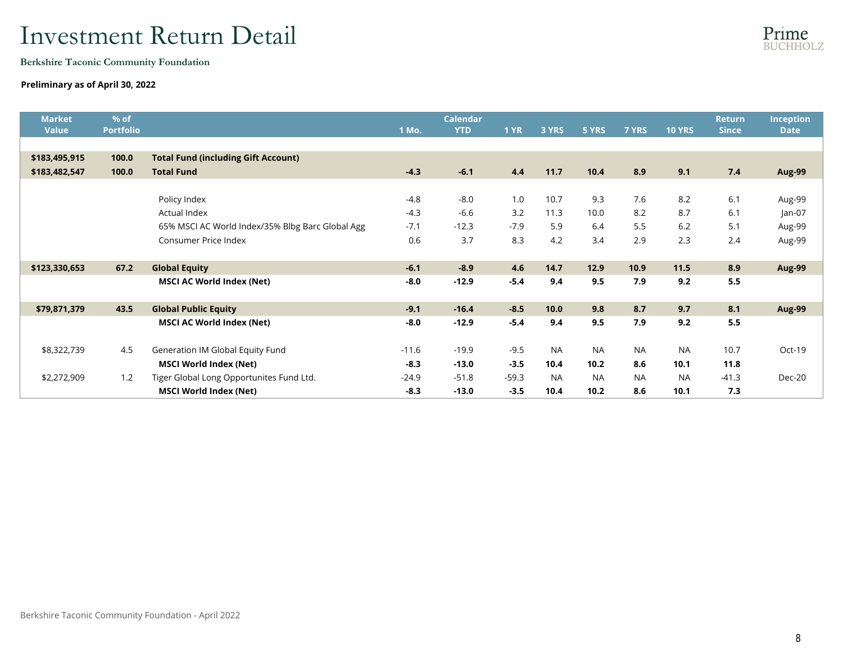Berkshire Taconic Community Foundation

### Preliminary as of April 30, 2022

| <b>Market</b><br><b>Value</b> | % of<br><b>Portfolio</b> |                                                  | 1 Mo.   | <b>Calendar</b><br><b>YTD</b> | <b>1 YR</b> | 3 YRS     | 5 YRS     | 7 YRS     | <b>10 YRS</b> | <b>Return</b><br><b>Since</b> | <b>Inception</b><br><b>Date</b> |
|-------------------------------|--------------------------|--------------------------------------------------|---------|-------------------------------|-------------|-----------|-----------|-----------|---------------|-------------------------------|---------------------------------|
|                               |                          |                                                  |         |                               |             |           |           |           |               |                               |                                 |
| \$183,495,915                 | 100.0                    | <b>Total Fund (including Gift Account)</b>       |         |                               |             |           |           |           |               |                               |                                 |
| \$183,482,547                 | 100.0                    | <b>Total Fund</b>                                | $-4.3$  | $-6.1$                        | 4.4         | 11.7      | 10.4      | 8.9       | 9.1           | 7.4                           | Aug-99                          |
|                               |                          |                                                  |         |                               |             |           |           |           |               |                               |                                 |
|                               |                          | Policy Index                                     | $-4.8$  | $-8.0$                        | 1.0         | 10.7      | 9.3       | 7.6       | 8.2           | 6.1                           | Aug-99                          |
|                               |                          | Actual Index                                     | $-4.3$  | $-6.6$                        | 3.2         | 11.3      | 10.0      | 8.2       | 8.7           | 6.1                           | $Jan-07$                        |
|                               |                          | 65% MSCI AC World Index/35% Blbg Barc Global Agg | $-7.1$  | $-12.3$                       | $-7.9$      | 5.9       | 6.4       | 5.5       | 6.2           | 5.1                           | Aug-99                          |
|                               |                          | <b>Consumer Price Index</b>                      | 0.6     | 3.7                           | 8.3         | 4.2       | 3.4       | 2.9       | 2.3           | 2.4                           | Aug-99                          |
|                               |                          |                                                  |         |                               |             |           |           |           |               |                               |                                 |
| \$123,330,653                 | 67.2                     | <b>Global Equity</b>                             | $-6.1$  | $-8.9$                        | 4.6         | 14.7      | 12.9      | 10.9      | 11.5          | 8.9                           | Aug-99                          |
|                               |                          | <b>MSCI AC World Index (Net)</b>                 | $-8.0$  | $-12.9$                       | $-5.4$      | 9.4       | 9.5       | 7.9       | 9.2           | 5.5                           |                                 |
|                               |                          |                                                  |         |                               |             |           |           |           |               |                               |                                 |
| \$79,871,379                  | 43.5                     | <b>Global Public Equity</b>                      | $-9.1$  | $-16.4$                       | $-8.5$      | 10.0      | 9.8       | 8.7       | 9.7           | 8.1                           | <b>Aug-99</b>                   |
|                               |                          | <b>MSCI AC World Index (Net)</b>                 | $-8.0$  | $-12.9$                       | $-5.4$      | 9.4       | 9.5       | 7.9       | 9.2           | 5.5                           |                                 |
|                               |                          |                                                  |         |                               |             |           |           |           |               |                               |                                 |
| \$8,322,739                   | 4.5                      | Generation IM Global Equity Fund                 | $-11.6$ | $-19.9$                       | $-9.5$      | <b>NA</b> | <b>NA</b> | <b>NA</b> | <b>NA</b>     | 10.7                          | Oct-19                          |
|                               |                          | <b>MSCI World Index (Net)</b>                    | $-8.3$  | $-13.0$                       | $-3.5$      | 10.4      | 10.2      | 8.6       | 10.1          | 11.8                          |                                 |
| \$2,272,909                   | 1.2                      | Tiger Global Long Opportunites Fund Ltd.         | $-24.9$ | $-51.8$                       | $-59.3$     | <b>NA</b> | <b>NA</b> | <b>NA</b> | <b>NA</b>     | $-41.3$                       | Dec-20                          |
|                               |                          | <b>MSCI World Index (Net)</b>                    | $-8.3$  | $-13.0$                       | $-3.5$      | 10.4      | 10.2      | 8.6       | 10.1          | 7.3                           |                                 |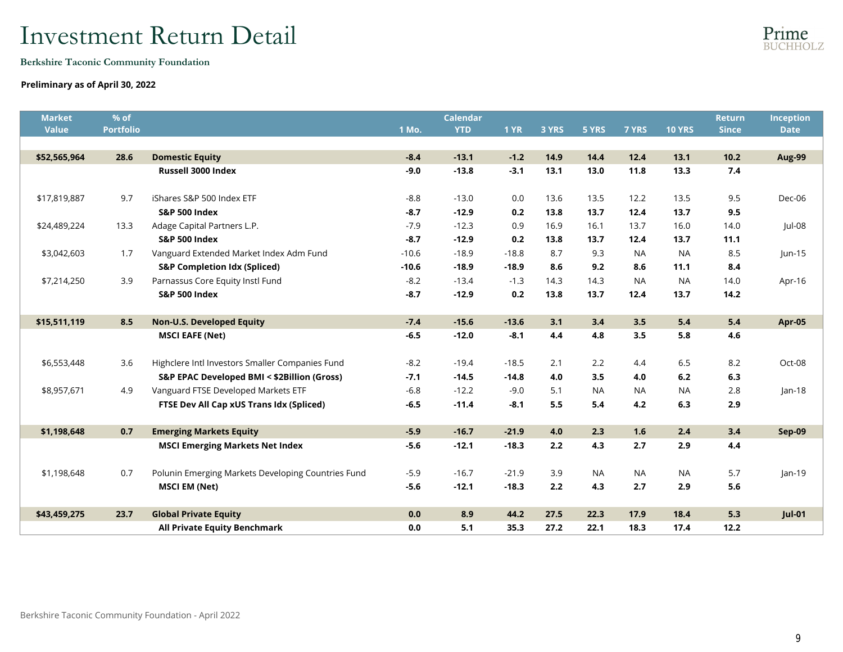Berkshire Taconic Community Foundation

#### Preliminary as of April 30, 2022

| <b>Market</b><br>Value | % of<br><b>Portfolio</b> |                                                    | 1 Mo.   | <b>Calendar</b><br><b>YTD</b> | <b>1 YR</b> | 3 YRS | 5 YRS     | 7 YRS     | <b>10 YRS</b> | <b>Return</b><br><b>Since</b> | Inception<br><b>Date</b> |
|------------------------|--------------------------|----------------------------------------------------|---------|-------------------------------|-------------|-------|-----------|-----------|---------------|-------------------------------|--------------------------|
|                        |                          |                                                    |         |                               |             |       |           |           |               |                               |                          |
| \$52,565,964           | 28.6                     | <b>Domestic Equity</b>                             | $-8.4$  | $-13.1$                       | $-1.2$      | 14.9  | 14.4      | 12.4      | 13.1          | 10.2                          | Aug-99                   |
|                        |                          | Russell 3000 Index                                 | $-9.0$  | $-13.8$                       | $-3.1$      | 13.1  | 13.0      | 11.8      | 13.3          | 7.4                           |                          |
|                        |                          |                                                    |         |                               |             |       |           |           |               |                               |                          |
| \$17,819,887           | 9.7                      | iShares S&P 500 Index ETF                          | $-8.8$  | $-13.0$                       | 0.0         | 13.6  | 13.5      | 12.2      | 13.5          | 9.5                           | Dec-06                   |
|                        |                          | <b>S&amp;P 500 Index</b>                           | $-8.7$  | $-12.9$                       | 0.2         | 13.8  | 13.7      | 12.4      | 13.7          | 9.5                           |                          |
| \$24,489,224           | 13.3                     | Adage Capital Partners L.P.                        | $-7.9$  | $-12.3$                       | 0.9         | 16.9  | 16.1      | 13.7      | 16.0          | 14.0                          | Jul-08                   |
|                        |                          | <b>S&amp;P 500 Index</b>                           | $-8.7$  | $-12.9$                       | 0.2         | 13.8  | 13.7      | 12.4      | 13.7          | 11.1                          |                          |
| \$3,042,603            | 1.7                      | Vanguard Extended Market Index Adm Fund            | $-10.6$ | $-18.9$                       | $-18.8$     | 8.7   | 9.3       | <b>NA</b> | <b>NA</b>     | 8.5                           | $ un-15$                 |
|                        |                          | <b>S&amp;P Completion Idx (Spliced)</b>            | $-10.6$ | $-18.9$                       | $-18.9$     | 8.6   | 9.2       | 8.6       | 11.1          | 8.4                           |                          |
| \$7,214,250            | 3.9                      | Parnassus Core Equity Instl Fund                   | $-8.2$  | $-13.4$                       | $-1.3$      | 14.3  | 14.3      | <b>NA</b> | <b>NA</b>     | 14.0                          | Apr-16                   |
|                        |                          | <b>S&amp;P 500 Index</b>                           | $-8.7$  | $-12.9$                       | 0.2         | 13.8  | 13.7      | 12.4      | 13.7          | 14.2                          |                          |
|                        |                          |                                                    |         |                               |             |       |           |           |               |                               |                          |
| \$15,511,119           | 8.5                      | <b>Non-U.S. Developed Equity</b>                   | $-7.4$  | $-15.6$                       | $-13.6$     | 3.1   | 3,4       | 3.5       | 5.4           | 5.4                           | Apr-05                   |
|                        |                          | <b>MSCI EAFE (Net)</b>                             | $-6.5$  | $-12.0$                       | $-8.1$      | 4.4   | 4.8       | 3.5       | 5.8           | 4.6                           |                          |
|                        |                          |                                                    |         |                               |             |       |           |           |               |                               |                          |
| \$6,553,448            | 3.6                      | Highclere Intl Investors Smaller Companies Fund    | $-8.2$  | $-19.4$                       | $-18.5$     | 2.1   | 2.2       | 4.4       | 6.5           | 8.2                           | Oct-08                   |
|                        |                          | S&P EPAC Developed BMI < \$2Billion (Gross)        | $-7.1$  | $-14.5$                       | $-14.8$     | 4.0   | 3.5       | 4.0       | 6.2           | 6.3                           |                          |
| \$8,957,671            | 4.9                      | Vanguard FTSE Developed Markets ETF                | $-6.8$  | $-12.2$                       | $-9.0$      | 5.1   | <b>NA</b> | <b>NA</b> | <b>NA</b>     | 2.8                           | $lan-18$                 |
|                        |                          | FTSE Dev All Cap xUS Trans Idx (Spliced)           | $-6.5$  | $-11.4$                       | $-8.1$      | 5.5   | 5.4       | 4.2       | 6.3           | 2.9                           |                          |
|                        |                          |                                                    |         |                               |             |       |           |           |               |                               |                          |
| \$1,198,648            | 0.7                      | <b>Emerging Markets Equity</b>                     | $-5.9$  | $-16.7$                       | $-21.9$     | 4.0   | 2.3       | 1.6       | 2.4           | 3,4                           | <b>Sep-09</b>            |
|                        |                          | <b>MSCI Emerging Markets Net Index</b>             | $-5.6$  | $-12.1$                       | $-18.3$     | 2.2   | 4.3       | 2.7       | 2.9           | 4.4                           |                          |
|                        |                          |                                                    |         |                               |             |       |           |           |               |                               |                          |
| \$1,198,648            | 0.7                      | Polunin Emerging Markets Developing Countries Fund | $-5.9$  | $-16.7$                       | $-21.9$     | 3.9   | <b>NA</b> | <b>NA</b> | <b>NA</b>     | 5.7                           | $lan-19$                 |
|                        |                          | <b>MSCI EM (Net)</b>                               | $-5.6$  | $-12.1$                       | $-18.3$     | 2.2   | 4.3       | 2.7       | 2.9           | 5.6                           |                          |
|                        |                          |                                                    |         |                               |             |       |           |           |               |                               |                          |
| \$43,459,275           | 23.7                     | <b>Global Private Equity</b>                       | 0.0     | 8.9                           | 44.2        | 27.5  | 22.3      | 17.9      | 18.4          | 5.3                           | $Jul-01$                 |
|                        |                          | <b>All Private Equity Benchmark</b>                | 0.0     | 5.1                           | 35.3        | 27.2  | 22.1      | 18.3      | 17.4          | 12.2                          |                          |

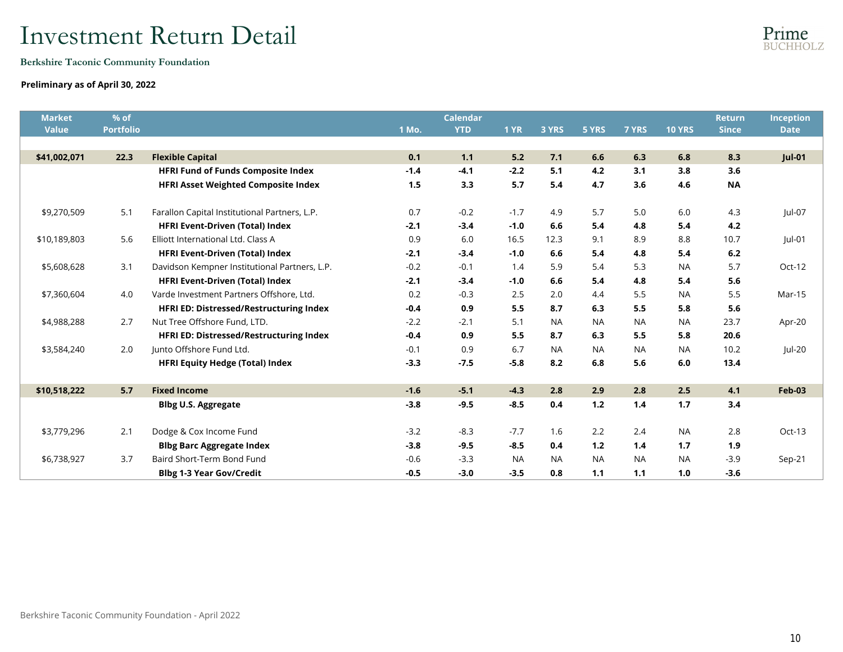Berkshire Taconic Community Foundation

### Preliminary as of April 30, 2022

| <b>Market</b> | % of             |                                               |        | <b>Calendar</b> |             |           |           |           |               | <b>Return</b> | Inception     |
|---------------|------------------|-----------------------------------------------|--------|-----------------|-------------|-----------|-----------|-----------|---------------|---------------|---------------|
| <b>Value</b>  | <b>Portfolio</b> |                                               | 1 Mo.  | <b>YTD</b>      | <b>1 YR</b> | 3 YRS     | 5 YRS     | 7 YRS     | <b>10 YRS</b> | <b>Since</b>  | <b>Date</b>   |
|               |                  |                                               |        |                 |             |           |           |           |               |               |               |
| \$41,002,071  | 22.3             | <b>Flexible Capital</b>                       | 0.1    | 1.1             | 5.2         | 7.1       | 6.6       | 6.3       | 6.8           | 8.3           | <b>Jul-01</b> |
|               |                  | <b>HFRI Fund of Funds Composite Index</b>     | $-1.4$ | $-4.1$          | $-2.2$      | 5.1       | 4.2       | 3.1       | 3.8           | 3.6           |               |
|               |                  | <b>HFRI Asset Weighted Composite Index</b>    | 1.5    | 3.3             | 5.7         | 5.4       | 4.7       | 3.6       | 4.6           | <b>NA</b>     |               |
| \$9,270,509   | 5.1              | Farallon Capital Institutional Partners, L.P. | 0.7    | $-0.2$          | $-1.7$      | 4.9       | 5.7       | 5.0       | 6.0           | 4.3           | $ ul-07$      |
|               |                  | <b>HFRI Event-Driven (Total) Index</b>        | $-2.1$ | $-3.4$          | $-1.0$      | 6.6       | 5.4       | 4.8       | 5.4           | 4.2           |               |
| \$10,189,803  | 5.6              | Elliott International Ltd. Class A            | 0.9    | 6.0             | 16.5        | 12.3      | 9.1       | 8.9       | 8.8           | 10.7          | Jul-01        |
|               |                  | <b>HFRI Event-Driven (Total) Index</b>        | $-2.1$ | $-3.4$          | $-1.0$      | 6.6       | 5.4       | 4.8       | 5.4           | 6.2           |               |
| \$5,608,628   | 3.1              | Davidson Kempner Institutional Partners, L.P. | $-0.2$ | $-0.1$          | 1.4         | 5.9       | 5.4       | 5.3       | <b>NA</b>     | 5.7           | Oct-12        |
|               |                  | <b>HFRI Event-Driven (Total) Index</b>        | $-2.1$ | $-3.4$          | $-1.0$      | 6.6       | 5.4       | 4.8       | 5.4           | 5.6           |               |
| \$7,360,604   | 4.0              | Varde Investment Partners Offshore, Ltd.      | 0.2    | $-0.3$          | 2.5         | 2.0       | 4.4       | 5.5       | <b>NA</b>     | 5.5           | Mar-15        |
|               |                  | HFRI ED: Distressed/Restructuring Index       | $-0.4$ | 0.9             | 5.5         | 8.7       | 6.3       | 5.5       | 5.8           | 5.6           |               |
| \$4,988,288   | 2.7              | Nut Tree Offshore Fund, LTD.                  | $-2.2$ | $-2.1$          | 5.1         | <b>NA</b> | <b>NA</b> | <b>NA</b> | <b>NA</b>     | 23.7          | Apr-20        |
|               |                  | HFRI ED: Distressed/Restructuring Index       | $-0.4$ | 0.9             | 5.5         | 8.7       | 6.3       | 5.5       | 5.8           | 20.6          |               |
| \$3,584,240   | 2.0              | lunto Offshore Fund Ltd.                      | $-0.1$ | 0.9             | 6.7         | <b>NA</b> | <b>NA</b> | <b>NA</b> | <b>NA</b>     | 10.2          | $ ul-20 $     |
|               |                  | <b>HFRI Equity Hedge (Total) Index</b>        | $-3.3$ | $-7.5$          | $-5.8$      | 8.2       | 6.8       | 5.6       | 6.0           | 13.4          |               |
| \$10,518,222  | 5.7              | <b>Fixed Income</b>                           | $-1.6$ | $-5.1$          | $-4.3$      | 2.8       | 2.9       | 2.8       | 2.5           | 4.1           | <b>Feb-03</b> |
|               |                  | <b>Blbg U.S. Aggregate</b>                    | $-3.8$ | $-9.5$          | $-8.5$      | 0.4       | $1.2$     | 1.4       | 1.7           | 3.4           |               |
|               |                  |                                               |        |                 |             |           |           |           |               |               |               |
| \$3,779,296   | 2.1              | Dodge & Cox Income Fund                       | $-3.2$ | $-8.3$          | $-7.7$      | 1.6       | 2.2       | 2.4       | <b>NA</b>     | 2.8           | Oct-13        |
|               |                  | <b>Blbg Barc Aggregate Index</b>              | $-3.8$ | $-9.5$          | $-8.5$      | 0.4       | $1.2$     | 1.4       | 1.7           | 1.9           |               |
| \$6,738,927   | 3.7              | Baird Short-Term Bond Fund                    | $-0.6$ | $-3.3$          | <b>NA</b>   | <b>NA</b> | <b>NA</b> | <b>NA</b> | <b>NA</b>     | $-3.9$        | $Sep-21$      |
|               |                  | <b>Blbg 1-3 Year Gov/Credit</b>               | $-0.5$ | $-3.0$          | $-3.5$      | 0.8       | 1.1       | 1.1       | 1.0           | $-3.6$        |               |

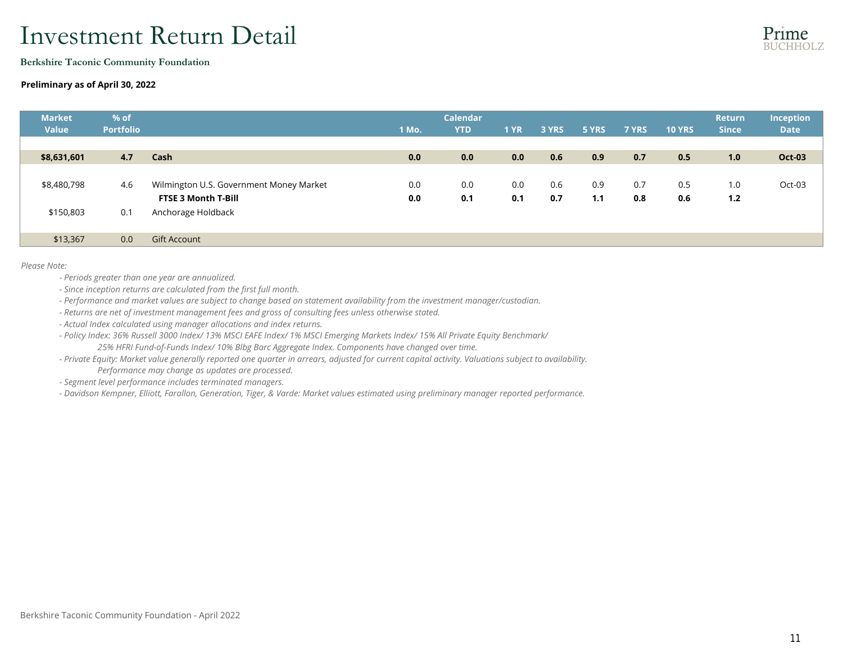Berkshire Taconic Community Foundation

#### Preliminary as of April 30, 2022

| <b>Market</b><br><b>Value</b> | % of<br><b>Portfolio</b> |                                         | 1 Mo. | <b>Calendar</b><br><b>YTD</b> | <b>1 YR</b> | 3 YRS | 5 YRS | 7 YRS | <b>10 YRS</b> | <b>Return</b><br><b>Since</b> | <b>Inception</b><br><b>Date</b> |
|-------------------------------|--------------------------|-----------------------------------------|-------|-------------------------------|-------------|-------|-------|-------|---------------|-------------------------------|---------------------------------|
| \$8,631,601                   | 4.7                      | Cash                                    | 0.0   | 0.0                           | 0.0         | 0.6   | 0.9   | 0.7   | 0.5           | 1.0                           | <b>Oct-03</b>                   |
|                               |                          |                                         |       |                               |             |       |       |       |               |                               |                                 |
| \$8,480,798                   | -4.6                     | Wilmington U.S. Government Money Market | 0.0   | 0.0                           | 0.0         | 0.6   | 0.9   | 0.7   | 0.5           | 1.0                           | Oct-03                          |
|                               |                          | <b>FTSE 3 Month T-Bill</b>              | 0.0   | 0.1                           | 0.1         | 0.7   | 1.1   | 0.8   | 0.6           | 1.2                           |                                 |
| \$150,803                     | 0.1                      | Anchorage Holdback                      |       |                               |             |       |       |       |               |                               |                                 |
| \$13,367                      | 0.0                      | <b>Gift Account</b>                     |       |                               |             |       |       |       |               |                               |                                 |

*Please Note:*

- *Periods greater than one year are annualized.*
- *Since inception returns are calculated from the first full month.*
- *Performance and market values are subject to change based on statement availability from the investment manager/custodian.*
- *Returns are net of investment management fees and gross of consulting fees unless otherwise stated.*
- *Actual Index calculated using manager allocations and index returns.*
- *Policy Index: 36% Russell 3000 Index/ 13% MSCI EAFE Index/ 1% MSCI Emerging Markets Index/ 15% All Private Equity Benchmark/ 25% HFRI Fund-of-Funds Index/ 10% Blbg Barc Aggregate Index. Components have changed over time.*
- *Private Equity: Market value generally reported one quarter in arrears, adjusted for current capital activity. Valuations subject to availability. Performance may change as updates are processed.*
- *Segment level performance includes terminated managers.*

*- Davidson Kempner, Elliott, Farallon, Generation, Tiger, & Varde: Market values estimated using preliminary manager reported performance.*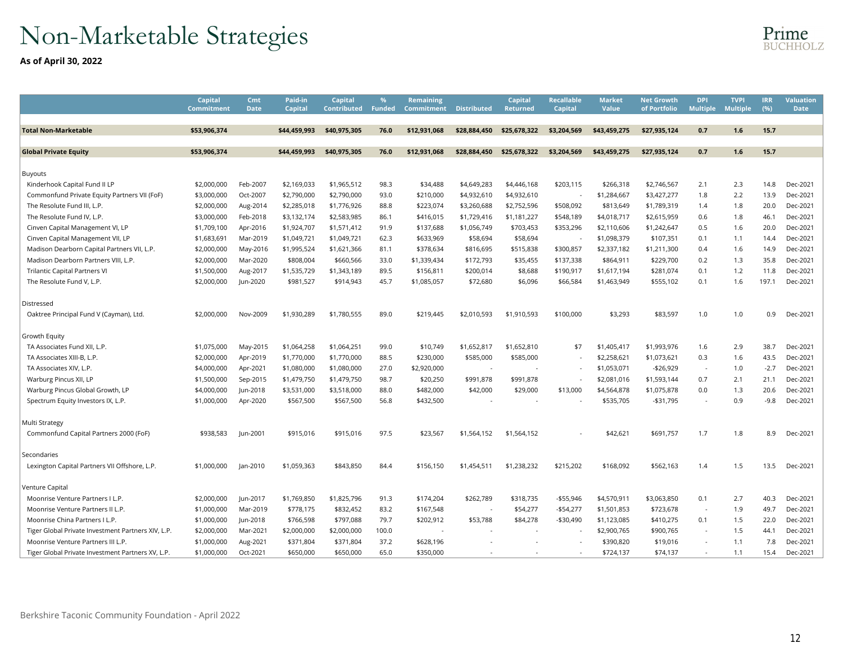# Non-Marketable Strategies

As of April 30, 2022

|                                                    | Capital<br><b>Commitment</b> | Cmt<br><b>Date</b> | Paid-in<br><b>Capital</b> | Capital<br><b>Contributed</b> | <b>Funded</b> | <b>Remaining</b><br>Commitment | <b>Distributed</b> | Capital<br><b>Returned</b> | Recallable<br>Capital    | Market<br>Value | Net Growth<br>of Portfolio | <b>DPI</b><br><b>Multiple</b> | <b>TVPI</b><br><b>Multiple</b> | <b>IRR</b><br>(%) | <b>Valuation</b><br><b>Date</b> |
|----------------------------------------------------|------------------------------|--------------------|---------------------------|-------------------------------|---------------|--------------------------------|--------------------|----------------------------|--------------------------|-----------------|----------------------------|-------------------------------|--------------------------------|-------------------|---------------------------------|
|                                                    |                              |                    |                           |                               |               |                                |                    |                            |                          |                 |                            |                               |                                |                   |                                 |
| Total Non-Marketable                               | \$53.906.374                 |                    | \$44.459.993              | \$40.975.305                  | 76.0          | \$12,931,068                   | \$28,884,450       | \$25,678,322               | \$3,204,569              | \$43.459.275    | \$27.935.124               | 0.7                           | 1.6                            | 15.7              |                                 |
| <b>Global Private Equity</b>                       | \$53,906,374                 |                    | \$44.459.993              | \$40.975.305                  | 76.0          | \$12.931.068                   | \$28,884.450       | \$25,678.322               | \$3.204.569              | \$43.459.275    | \$27.935.124               | 0.7                           | 1.6                            | 15.7              |                                 |
|                                                    |                              |                    |                           |                               |               |                                |                    |                            |                          |                 |                            |                               |                                |                   |                                 |
| Buyouts                                            |                              |                    |                           |                               |               |                                |                    |                            |                          |                 |                            |                               |                                |                   |                                 |
| Kinderhook Capital Fund II LP                      | \$2,000,000                  | Feb-2007           | \$2,169,033               | \$1,965,512                   | 98.3          | \$34,488                       | \$4,649,283        | \$4,446,168                | \$203,115                | \$266,318       | \$2,746,567                | 2.1                           | 2.3                            | 14.8              | Dec-2021                        |
| Commonfund Private Equity Partners VII (FoF)       | \$3,000,000                  | Oct-2007           | \$2,790,000               | \$2,790,000                   | 93.0          | \$210,000                      | \$4,932,610        | \$4,932,610                | $\overline{\phantom{a}}$ | \$1,284,667     | \$3,427,277                | 1.8                           | 2.2                            | 13.9              | Dec-2021                        |
| The Resolute Fund III, L.P.                        | \$2,000,000                  | Aug-2014           | \$2,285,018               | \$1,776,926                   | 88.8          | \$223,074                      | \$3,260,688        | \$2,752,596                | \$508,092                | \$813,649       | \$1,789,319                | 1.4                           | 1.8                            | 20.0              | Dec-2021                        |
| The Resolute Fund IV, L.P.                         | \$3,000,000                  | Feb-2018           | \$3,132,174               | \$2,583,985                   | 86.1          | \$416,015                      | \$1,729,416        | \$1,181,227                | \$548,189                | \$4,018,717     | \$2,615,959                | 0.6                           | 1.8                            | 46.1              | Dec-2021                        |
| Cinven Capital Management VI, LP                   | \$1,709,100                  | Apr-2016           | \$1,924,707               | \$1,571,412                   | 91.9          | \$137,688                      | \$1,056,749        | \$703,453                  | \$353,296                | \$2,110,606     | \$1,242,647                | 0.5                           | 1.6                            | 20.0              | Dec-2021                        |
| Cinven Capital Management VII, LP                  | \$1,683,691                  | Mar-2019           | \$1,049,721               | \$1,049,721                   | 62.3          | \$633,969                      | \$58,694           | \$58,694                   |                          | \$1,098,379     | \$107,351                  | 0.1                           | 1.1                            | 14.4              | Dec-2021                        |
| Madison Dearborn Capital Partners VII, L.P.        | \$2,000,000                  | May-2016           | \$1,995,524               | \$1,621,366                   | 81.1          | \$378,634                      | \$816,695          | \$515,838                  | \$300,857                | \$2,337,182     | \$1,211,300                | 0.4                           | 1.6                            | 14.9              | Dec-2021                        |
| Madison Dearborn Partners VIII, L.P.               | \$2,000,000                  | Mar-2020           | \$808,004                 | \$660,566                     | 33.0          | \$1,339,434                    | \$172,793          | \$35,455                   | \$137,338                | \$864,911       | \$229,700                  | 0.2                           | 1.3                            | 35.8              | Dec-2021                        |
| <b>Trilantic Capital Partners VI</b>               | \$1,500,000                  | Aug-2017           | \$1,535,729               | \$1,343,189                   | 89.5          | \$156,811                      | \$200,014          | \$8,688                    | \$190,917                | \$1,617,194     | \$281,074                  | 0.1                           | 1.2                            | 11.8              | Dec-2021                        |
| The Resolute Fund V, L.P.                          | \$2,000,000                  | Jun-2020           | \$981,527                 | \$914,943                     | 45.7          | \$1,085,057                    | \$72,680           | \$6,096                    | \$66,584                 | \$1,463,949     | \$555,102                  | 0.1                           | 1.6                            | 197.1             | Dec-2021                        |
| Distressed                                         |                              |                    |                           |                               |               |                                |                    |                            |                          |                 |                            |                               |                                |                   |                                 |
| Oaktree Principal Fund V (Cayman), Ltd.            | \$2,000,000                  | Nov-2009           | \$1,930,289               | \$1,780,555                   | 89.0          | \$219,445                      | \$2,010,593        | \$1,910,593                | \$100,000                | \$3,293         | \$83,597                   | 1.0                           | 1.0                            | 0.9               | Dec-2021                        |
| Growth Equity                                      |                              |                    |                           |                               |               |                                |                    |                            |                          |                 |                            |                               |                                |                   |                                 |
| TA Associates Fund XII, L.P.                       | \$1,075,000                  | May-2015           | \$1,064,258               | \$1,064,251                   | 99.0          | \$10,749                       | \$1,652,817        | \$1,652,810                | \$7                      | \$1,405,417     | \$1,993,976                | 1.6                           | 2.9                            | 38.7              | Dec-2021                        |
| TA Associates XIII-B, L.P.                         | \$2,000,000                  | Apr-2019           | \$1,770,000               | \$1,770,000                   | 88.5          | \$230,000                      | \$585,000          | \$585,000                  |                          | \$2,258,621     | \$1,073,621                | 0.3                           | 1.6                            | 43.5              | Dec-2021                        |
| TA Associates XIV, L.P.                            | \$4,000,000                  | Apr-2021           | \$1,080,000               | \$1,080,000                   | 27.0          | \$2,920,000                    |                    |                            |                          | \$1,053,071     | $-$26,929$                 | $\overline{\phantom{a}}$      | 1.0                            | $-2.7$            | Dec-2021                        |
| Warburg Pincus XII, LP                             | \$1,500,000                  | Sep-2015           | \$1,479,750               | \$1,479,750                   | 98.7          | \$20,250                       | \$991,878          | \$991,878                  | $\sim$                   | \$2,081,016     | \$1,593,144                | 0.7                           | 2.1                            | 21.1              | Dec-2021                        |
| Warburg Pincus Global Growth, LP                   | \$4,000,000                  | Jun-2018           | \$3,531,000               | \$3,518,000                   | 88.0          | \$482,000                      | \$42,000           | \$29,000                   | \$13,000                 | \$4,564,878     | \$1,075,878                | 0.0                           | 1.3                            | 20.6              | Dec-2021                        |
| Spectrum Equity Investors IX, L.P.                 | \$1,000,000                  | Apr-2020           | \$567,500                 | \$567,500                     | 56.8          | \$432,500                      |                    |                            |                          | \$535,705       | $-$31,795$                 |                               | 0.9                            | $-9.8$            | Dec-2021                        |
| Multi Strategy                                     |                              |                    |                           |                               |               |                                |                    |                            |                          |                 |                            |                               |                                |                   |                                 |
| Commonfund Capital Partners 2000 (FoF)             | \$938,583                    | Jun-2001           | \$915,016                 | \$915,016                     | 97.5          | \$23,567                       | \$1,564,152        | \$1,564,152                |                          | \$42,621        | \$691,757                  | 1.7                           | 1.8                            | 8.9               | Dec-2021                        |
| Secondaries                                        |                              |                    |                           |                               |               |                                |                    |                            |                          |                 |                            |                               |                                |                   |                                 |
| Lexington Capital Partners VII Offshore, L.P.      | \$1,000,000                  | Jan-2010           | \$1,059,363               | \$843,850                     | 84.4          | \$156,150                      | \$1,454,511        | \$1,238,232                | \$215,202                | \$168,092       | \$562,163                  | 1.4                           | 1.5                            | 13.5              | Dec-2021                        |
| /enture Capital                                    |                              |                    |                           |                               |               |                                |                    |                            |                          |                 |                            |                               |                                |                   |                                 |
| Moonrise Venture Partners I L.P.                   | \$2,000,000                  | Jun-2017           | \$1,769,850               | \$1,825,796                   | 91.3          | \$174,204                      | \$262,789          | \$318,735                  | -\$55,946                | \$4,570,911     | \$3,063,850                | 0.1                           | 2.7                            | 40.3              | Dec-2021                        |
| Moonrise Venture Partners II L.P.                  | \$1,000,000                  | Mar-2019           | \$778,175                 | \$832,452                     | 83.2          | \$167,548                      |                    | \$54,277                   | $-$54,277$               | \$1,501,853     | \$723,678                  | $\tilde{\phantom{a}}$         | 1.9                            | 49.7              | Dec-2021                        |
| Moonrise China Partners I L.P.                     | \$1,000,000                  | Jun-2018           | \$766,598                 | \$797,088                     | 79.7          | \$202,912                      | \$53,788           | \$84,278                   | -\$30,490                | \$1,123,085     | \$410,275                  | 0.1                           | 1.5                            | 22.0              | Dec-2021                        |
| Tiger Global Private Investment Partners XIV, L.P. | \$2,000,000                  | Mar-2021           | \$2,000,000               | \$2,000,000                   | 100.0         |                                |                    |                            |                          | \$2,900,765     | \$900,765                  | $\sim$                        | 1.5                            | 44.1              | Dec-2021                        |
| Moonrise Venture Partners III L.P.                 | \$1,000,000                  | Aug-2021           | \$371,804                 | \$371,804                     | 37.2          | \$628,196                      |                    |                            |                          | \$390,820       | \$19,016                   | $\overline{\phantom{a}}$      | 1.1                            | 7.8               | Dec-2021                        |
| Tiger Global Private Investment Partners XV, L.P.  | \$1,000,000                  | Oct-2021           | \$650,000                 | \$650,000                     | 65.0          | \$350,000                      |                    |                            |                          | \$724,137       | \$74,137                   | $\sim$                        | 1.1                            | 15.4              | Dec-2021                        |
|                                                    |                              |                    |                           |                               |               |                                |                    |                            |                          |                 |                            |                               |                                |                   |                                 |